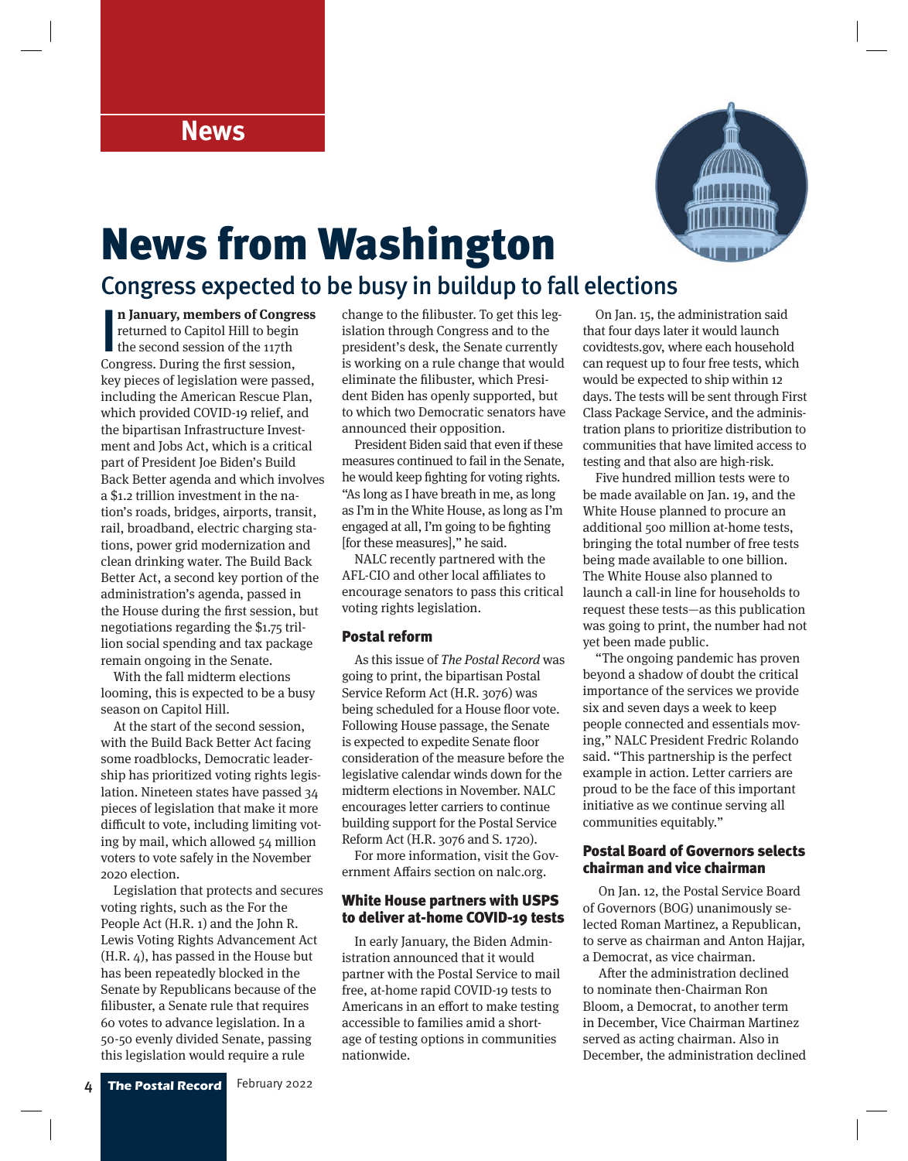

# News from Washington

### Congress expected to be busy in buildup to fall elections

**n January, members of Congreption Congress.** During the first session, **n January, members of Congress**  returned to Capitol Hill to begin the second session of the 117th key pieces of legislation were passed, including the American Rescue Plan, which provided COVID-19 relief, and the bipartisan Infrastructure Investment and Jobs Act, which is a critical part of President Joe Biden's Build Back Better agenda and which involves a \$1.2 trillion investment in the nation's roads, bridges, airports, transit, rail, broadband, electric charging stations, power grid modernization and clean drinking water. The Build Back Better Act, a second key portion of the administration's agenda, passed in the House during the first session, but negotiations regarding the \$1.75 trillion social spending and tax package remain ongoing in the Senate.

With the fall midterm elections looming, this is expected to be a busy season on Capitol Hill.

At the start of the second session, with the Build Back Better Act facing some roadblocks, Democratic leadership has prioritized voting rights legislation. Nineteen states have passed 34 pieces of legislation that make it more difficult to vote, including limiting voting by mail, which allowed 54 million voters to vote safely in the November 2020 election.

Legislation that protects and secures voting rights, such as the For the People Act (H.R. 1) and the John R. Lewis Voting Rights Advancement Act (H.R. 4), has passed in the House but has been repeatedly blocked in the Senate by Republicans because of the filibuster, a Senate rule that requires 60 votes to advance legislation. In a 50-50 evenly divided Senate, passing this legislation would require a rule

change to the filibuster. To get this legislation through Congress and to the president's desk, the Senate currently is working on a rule change that would eliminate the filibuster, which President Biden has openly supported, but to which two Democratic senators have announced their opposition.

President Biden said that even if these measures continued to fail in the Senate, he would keep fighting for voting rights. "As long as I have breath in me, as long as I'm in the White House, as long as I'm engaged at all, I'm going to be fighting [for these measures]," he said.

NALC recently partnered with the AFL-CIO and other local affiliates to encourage senators to pass this critical voting rights legislation.

#### Postal reform

As this issue of The Postal Record was going to print, the bipartisan Postal Service Reform Act (H.R. 3076) was being scheduled for a House floor vote. Following House passage, the Senate is expected to expedite Senate floor consideration of the measure before the legislative calendar winds down for the midterm elections in November. NALC encourages letter carriers to continue building support for the Postal Service Reform Act (H.R. 3076 and S. 1720).

For more information, visit the Government Affairs section on nalc.org.

#### White House partners with USPS to deliver at-home COVID-19 tests

In early January, the Biden Administration announced that it would partner with the Postal Service to mail free, at-home rapid COVID-19 tests to Americans in an effort to make testing accessible to families amid a shortage of testing options in communities nationwide.

On Jan. 15, the administration said that four days later it would launch covidtests.gov, where each household can request up to four free tests, which would be expected to ship within 12 days. The tests will be sent through First Class Package Service, and the administration plans to prioritize distribution to communities that have limited access to testing and that also are high-risk.

Five hundred million tests were to be made available on Jan. 19, and the White House planned to procure an additional 500 million at-home tests, bringing the total number of free tests being made available to one billion. The White House also planned to launch a call-in line for households to request these tests—as this publication was going to print, the number had not yet been made public.

"The ongoing pandemic has proven beyond a shadow of doubt the critical importance of the services we provide six and seven days a week to keep people connected and essentials moving," NALC President Fredric Rolando said. "This partnership is the perfect example in action. Letter carriers are proud to be the face of this important initiative as we continue serving all communities equitably."

#### Postal Board of Governors selects chairman and vice chairman

 On Jan. 12, the Postal Service Board of Governors (BOG) unanimously selected Roman Martinez, a Republican, to serve as chairman and Anton Hajjar, a Democrat, as vice chairman.

 After the administration declined to nominate then-Chairman Ron Bloom, a Democrat, to another term in December, Vice Chairman Martinez served as acting chairman. Also in December, the administration declined